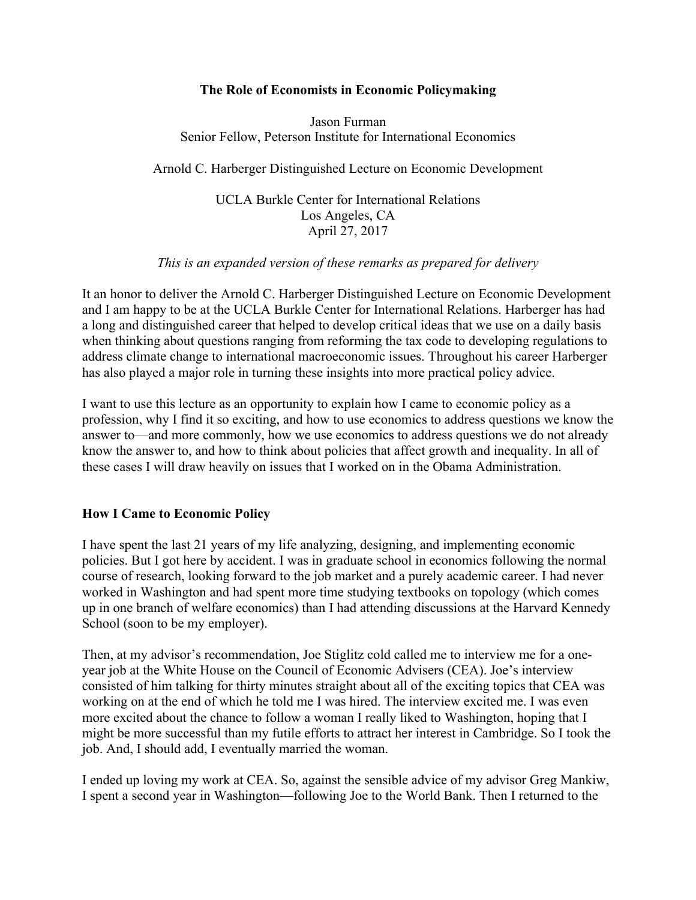## **The Role of Economists in Economic Policymaking**

Jason Furman Senior Fellow, Peterson Institute for International Economics

Arnold C. Harberger Distinguished Lecture on Economic Development

UCLA Burkle Center for International Relations Los Angeles, CA April 27, 2017

### *This is an expanded version of these remarks as prepared for delivery*

It an honor to deliver the Arnold C. Harberger Distinguished Lecture on Economic Development and I am happy to be at the UCLA Burkle Center for International Relations. Harberger has had a long and distinguished career that helped to develop critical ideas that we use on a daily basis when thinking about questions ranging from reforming the tax code to developing regulations to address climate change to international macroeconomic issues. Throughout his career Harberger has also played a major role in turning these insights into more practical policy advice.

I want to use this lecture as an opportunity to explain how I came to economic policy as a profession, why I find it so exciting, and how to use economics to address questions we know the answer to—and more commonly, how we use economics to address questions we do not already know the answer to, and how to think about policies that affect growth and inequality. In all of these cases I will draw heavily on issues that I worked on in the Obama Administration.

## **How I Came to Economic Policy**

I have spent the last 21 years of my life analyzing, designing, and implementing economic policies. But I got here by accident. I was in graduate school in economics following the normal course of research, looking forward to the job market and a purely academic career. I had never worked in Washington and had spent more time studying textbooks on topology (which comes up in one branch of welfare economics) than I had attending discussions at the Harvard Kennedy School (soon to be my employer).

Then, at my advisor's recommendation, Joe Stiglitz cold called me to interview me for a oneyear job at the White House on the Council of Economic Advisers (CEA). Joe's interview consisted of him talking for thirty minutes straight about all of the exciting topics that CEA was working on at the end of which he told me I was hired. The interview excited me. I was even more excited about the chance to follow a woman I really liked to Washington, hoping that I might be more successful than my futile efforts to attract her interest in Cambridge. So I took the job. And, I should add, I eventually married the woman.

I ended up loving my work at CEA. So, against the sensible advice of my advisor Greg Mankiw, I spent a second year in Washington—following Joe to the World Bank. Then I returned to the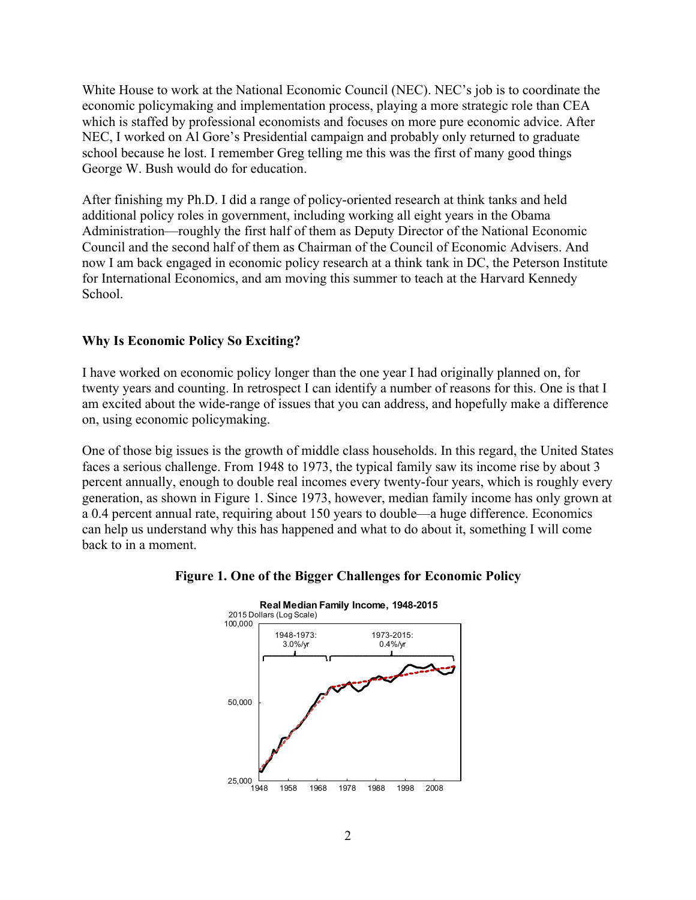White House to work at the National Economic Council (NEC). NEC's job is to coordinate the economic policymaking and implementation process, playing a more strategic role than CEA which is staffed by professional economists and focuses on more pure economic advice. After NEC, I worked on Al Gore's Presidential campaign and probably only returned to graduate school because he lost. I remember Greg telling me this was the first of many good things George W. Bush would do for education.

After finishing my Ph.D. I did a range of policy-oriented research at think tanks and held additional policy roles in government, including working all eight years in the Obama Administration—roughly the first half of them as Deputy Director of the National Economic Council and the second half of them as Chairman of the Council of Economic Advisers. And now I am back engaged in economic policy research at a think tank in DC, the Peterson Institute for International Economics, and am moving this summer to teach at the Harvard Kennedy School.

# **Why Is Economic Policy So Exciting?**

I have worked on economic policy longer than the one year I had originally planned on, for twenty years and counting. In retrospect I can identify a number of reasons for this. One is that I am excited about the wide-range of issues that you can address, and hopefully make a difference on, using economic policymaking.

One of those big issues is the growth of middle class households. In this regard, the United States faces a serious challenge. From 1948 to 1973, the typical family saw its income rise by about 3 percent annually, enough to double real incomes every twenty-four years, which is roughly every generation, as shown in Figure 1. Since 1973, however, median family income has only grown at a 0.4 percent annual rate, requiring about 150 years to double—a huge difference. Economics can help us understand why this has happened and what to do about it, something I will come back to in a moment.



### **Figure 1. One of the Bigger Challenges for Economic Policy**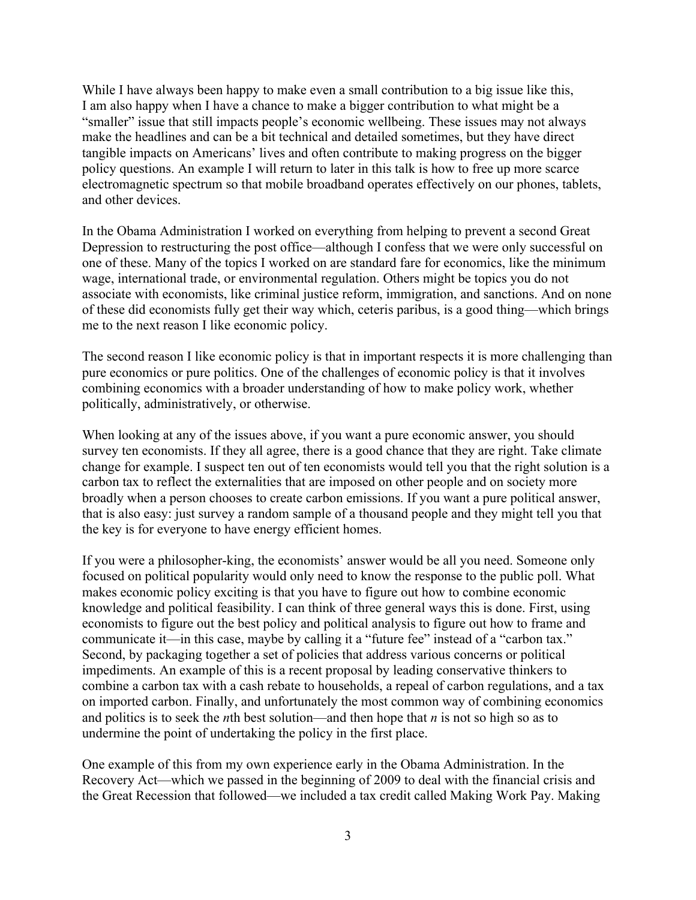While I have always been happy to make even a small contribution to a big issue like this, I am also happy when I have a chance to make a bigger contribution to what might be a "smaller" issue that still impacts people's economic wellbeing. These issues may not always make the headlines and can be a bit technical and detailed sometimes, but they have direct tangible impacts on Americans' lives and often contribute to making progress on the bigger policy questions. An example I will return to later in this talk is how to free up more scarce electromagnetic spectrum so that mobile broadband operates effectively on our phones, tablets, and other devices.

In the Obama Administration I worked on everything from helping to prevent a second Great Depression to restructuring the post office—although I confess that we were only successful on one of these. Many of the topics I worked on are standard fare for economics, like the minimum wage, international trade, or environmental regulation. Others might be topics you do not associate with economists, like criminal justice reform, immigration, and sanctions. And on none of these did economists fully get their way which, ceteris paribus, is a good thing—which brings me to the next reason I like economic policy.

The second reason I like economic policy is that in important respects it is more challenging than pure economics or pure politics. One of the challenges of economic policy is that it involves combining economics with a broader understanding of how to make policy work, whether politically, administratively, or otherwise.

When looking at any of the issues above, if you want a pure economic answer, you should survey ten economists. If they all agree, there is a good chance that they are right. Take climate change for example. I suspect ten out of ten economists would tell you that the right solution is a carbon tax to reflect the externalities that are imposed on other people and on society more broadly when a person chooses to create carbon emissions. If you want a pure political answer, that is also easy: just survey a random sample of a thousand people and they might tell you that the key is for everyone to have energy efficient homes.

If you were a philosopher-king, the economists' answer would be all you need. Someone only focused on political popularity would only need to know the response to the public poll. What makes economic policy exciting is that you have to figure out how to combine economic knowledge and political feasibility. I can think of three general ways this is done. First, using economists to figure out the best policy and political analysis to figure out how to frame and communicate it—in this case, maybe by calling it a "future fee" instead of a "carbon tax." Second, by packaging together a set of policies that address various concerns or political impediments. An example of this is a recent proposal by leading conservative thinkers to combine a carbon tax with a cash rebate to households, a repeal of carbon regulations, and a tax on imported carbon. Finally, and unfortunately the most common way of combining economics and politics is to seek the *n*th best solution—and then hope that *n* is not so high so as to undermine the point of undertaking the policy in the first place.

One example of this from my own experience early in the Obama Administration. In the Recovery Act—which we passed in the beginning of 2009 to deal with the financial crisis and the Great Recession that followed—we included a tax credit called Making Work Pay. Making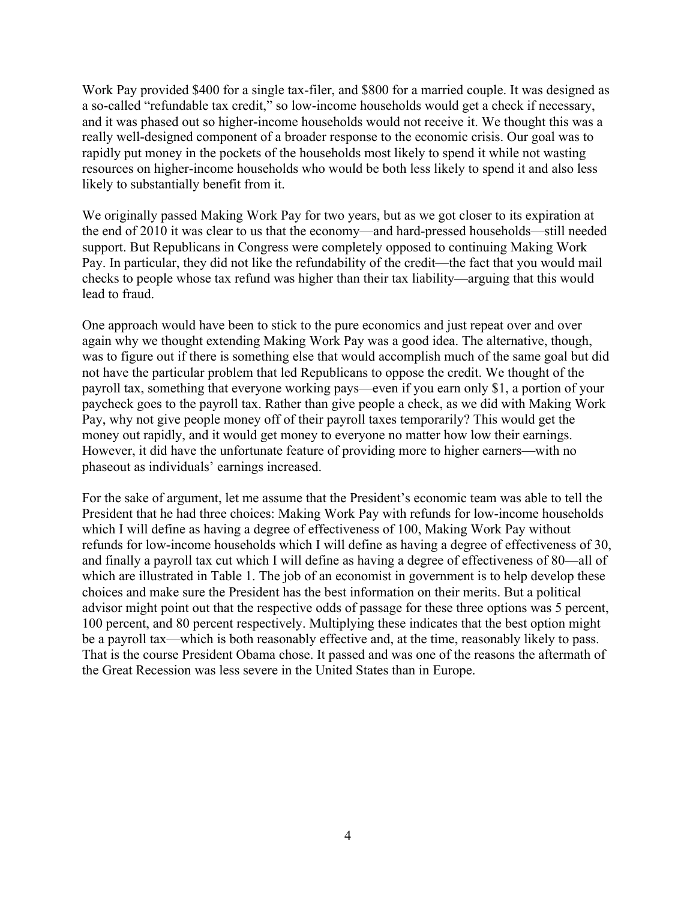Work Pay provided \$400 for a single tax-filer, and \$800 for a married couple. It was designed as a so-called "refundable tax credit," so low-income households would get a check if necessary, and it was phased out so higher-income households would not receive it. We thought this was a really well-designed component of a broader response to the economic crisis. Our goal was to rapidly put money in the pockets of the households most likely to spend it while not wasting resources on higher-income households who would be both less likely to spend it and also less likely to substantially benefit from it.

We originally passed Making Work Pay for two years, but as we got closer to its expiration at the end of 2010 it was clear to us that the economy—and hard-pressed households—still needed support. But Republicans in Congress were completely opposed to continuing Making Work Pay. In particular, they did not like the refundability of the credit—the fact that you would mail checks to people whose tax refund was higher than their tax liability—arguing that this would lead to fraud.

One approach would have been to stick to the pure economics and just repeat over and over again why we thought extending Making Work Pay was a good idea. The alternative, though, was to figure out if there is something else that would accomplish much of the same goal but did not have the particular problem that led Republicans to oppose the credit. We thought of the payroll tax, something that everyone working pays—even if you earn only \$1, a portion of your paycheck goes to the payroll tax. Rather than give people a check, as we did with Making Work Pay, why not give people money off of their payroll taxes temporarily? This would get the money out rapidly, and it would get money to everyone no matter how low their earnings. However, it did have the unfortunate feature of providing more to higher earners—with no phaseout as individuals' earnings increased.

For the sake of argument, let me assume that the President's economic team was able to tell the President that he had three choices: Making Work Pay with refunds for low-income households which I will define as having a degree of effectiveness of 100, Making Work Pay without refunds for low-income households which I will define as having a degree of effectiveness of 30, and finally a payroll tax cut which I will define as having a degree of effectiveness of 80—all of which are illustrated in Table 1. The job of an economist in government is to help develop these choices and make sure the President has the best information on their merits. But a political advisor might point out that the respective odds of passage for these three options was 5 percent, 100 percent, and 80 percent respectively. Multiplying these indicates that the best option might be a payroll tax—which is both reasonably effective and, at the time, reasonably likely to pass. That is the course President Obama chose. It passed and was one of the reasons the aftermath of the Great Recession was less severe in the United States than in Europe.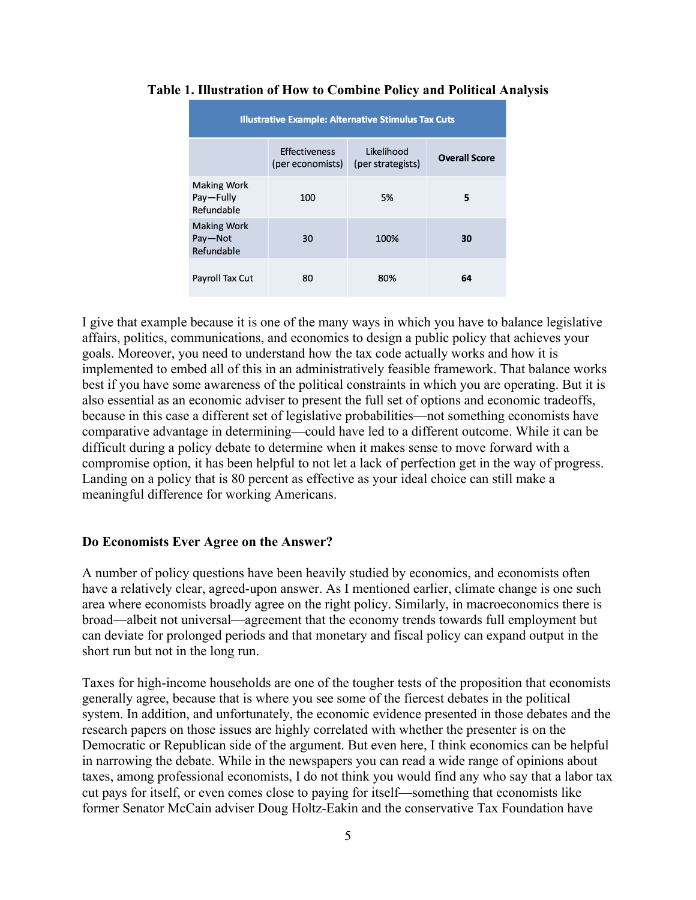| <b>Illustrative Example: Alternative Stimulus Tax Cuts</b> |                                          |                                 |                      |
|------------------------------------------------------------|------------------------------------------|---------------------------------|----------------------|
|                                                            | <b>Effectiveness</b><br>(per economists) | Likelihood<br>(per strategists) | <b>Overall Score</b> |
| <b>Making Work</b><br>Pay-Fully<br>Refundable              | 100                                      | 5%                              | 5                    |
| <b>Making Work</b><br>Pay-Not<br>Refundable                | 30                                       | 100%                            | 30                   |
| <b>Payroll Tax Cut</b>                                     | 80                                       | 80%                             | 64                   |

### **Table 1. Illustration of How to Combine Policy and Political Analysis**

I give that example because it is one of the many ways in which you have to balance legislative affairs, politics, communications, and economics to design a public policy that achieves your goals. Moreover, you need to understand how the tax code actually works and how it is implemented to embed all of this in an administratively feasible framework. That balance works best if you have some awareness of the political constraints in which you are operating. But it is also essential as an economic adviser to present the full set of options and economic tradeoffs, because in this case a different set of legislative probabilities—not something economists have comparative advantage in determining—could have led to a different outcome. While it can be difficult during a policy debate to determine when it makes sense to move forward with a compromise option, it has been helpful to not let a lack of perfection get in the way of progress. Landing on a policy that is 80 percent as effective as your ideal choice can still make a meaningful difference for working Americans.

### **Do Economists Ever Agree on the Answer?**

A number of policy questions have been heavily studied by economics, and economists often have a relatively clear, agreed-upon answer. As I mentioned earlier, climate change is one such area where economists broadly agree on the right policy. Similarly, in macroeconomics there is broad—albeit not universal—agreement that the economy trends towards full employment but can deviate for prolonged periods and that monetary and fiscal policy can expand output in the short run but not in the long run.

Taxes for high-income households are one of the tougher tests of the proposition that economists generally agree, because that is where you see some of the fiercest debates in the political system. In addition, and unfortunately, the economic evidence presented in those debates and the research papers on those issues are highly correlated with whether the presenter is on the Democratic or Republican side of the argument. But even here, I think economics can be helpful in narrowing the debate. While in the newspapers you can read a wide range of opinions about taxes, among professional economists, I do not think you would find any who say that a labor tax cut pays for itself, or even comes close to paying for itself—something that economists like former Senator McCain adviser Doug Holtz-Eakin and the conservative Tax Foundation have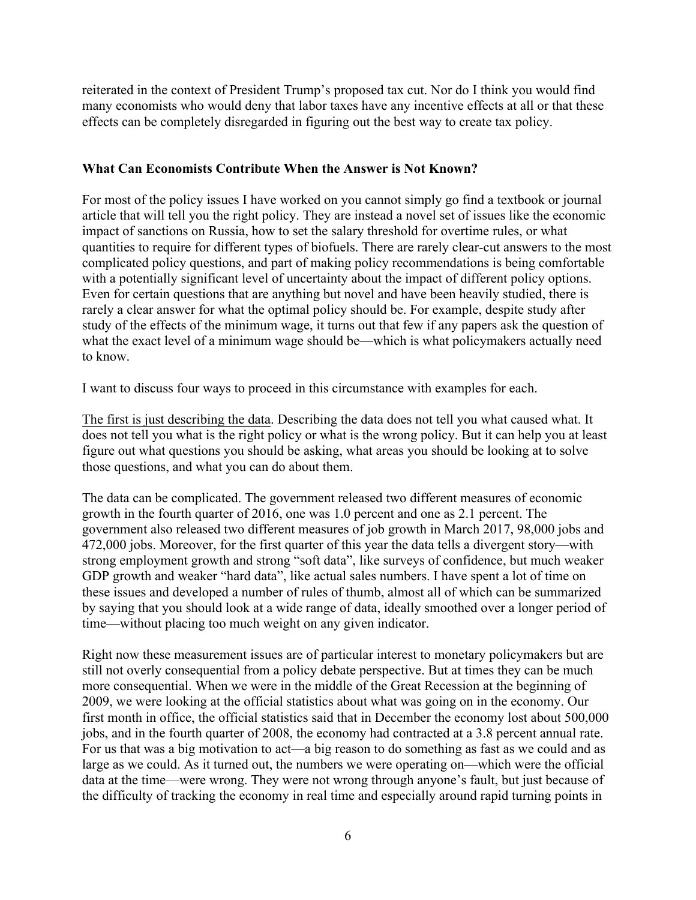reiterated in the context of President Trump's proposed tax cut. Nor do I think you would find many economists who would deny that labor taxes have any incentive effects at all or that these effects can be completely disregarded in figuring out the best way to create tax policy.

## **What Can Economists Contribute When the Answer is Not Known?**

For most of the policy issues I have worked on you cannot simply go find a textbook or journal article that will tell you the right policy. They are instead a novel set of issues like the economic impact of sanctions on Russia, how to set the salary threshold for overtime rules, or what quantities to require for different types of biofuels. There are rarely clear-cut answers to the most complicated policy questions, and part of making policy recommendations is being comfortable with a potentially significant level of uncertainty about the impact of different policy options. Even for certain questions that are anything but novel and have been heavily studied, there is rarely a clear answer for what the optimal policy should be. For example, despite study after study of the effects of the minimum wage, it turns out that few if any papers ask the question of what the exact level of a minimum wage should be—which is what policymakers actually need to know.

I want to discuss four ways to proceed in this circumstance with examples for each.

The first is just describing the data. Describing the data does not tell you what caused what. It does not tell you what is the right policy or what is the wrong policy. But it can help you at least figure out what questions you should be asking, what areas you should be looking at to solve those questions, and what you can do about them.

The data can be complicated. The government released two different measures of economic growth in the fourth quarter of 2016, one was 1.0 percent and one as 2.1 percent. The government also released two different measures of job growth in March 2017, 98,000 jobs and 472,000 jobs. Moreover, for the first quarter of this year the data tells a divergent story—with strong employment growth and strong "soft data", like surveys of confidence, but much weaker GDP growth and weaker "hard data", like actual sales numbers. I have spent a lot of time on these issues and developed a number of rules of thumb, almost all of which can be summarized by saying that you should look at a wide range of data, ideally smoothed over a longer period of time—without placing too much weight on any given indicator.

Right now these measurement issues are of particular interest to monetary policymakers but are still not overly consequential from a policy debate perspective. But at times they can be much more consequential. When we were in the middle of the Great Recession at the beginning of 2009, we were looking at the official statistics about what was going on in the economy. Our first month in office, the official statistics said that in December the economy lost about 500,000 jobs, and in the fourth quarter of 2008, the economy had contracted at a 3.8 percent annual rate. For us that was a big motivation to act—a big reason to do something as fast as we could and as large as we could. As it turned out, the numbers we were operating on—which were the official data at the time—were wrong. They were not wrong through anyone's fault, but just because of the difficulty of tracking the economy in real time and especially around rapid turning points in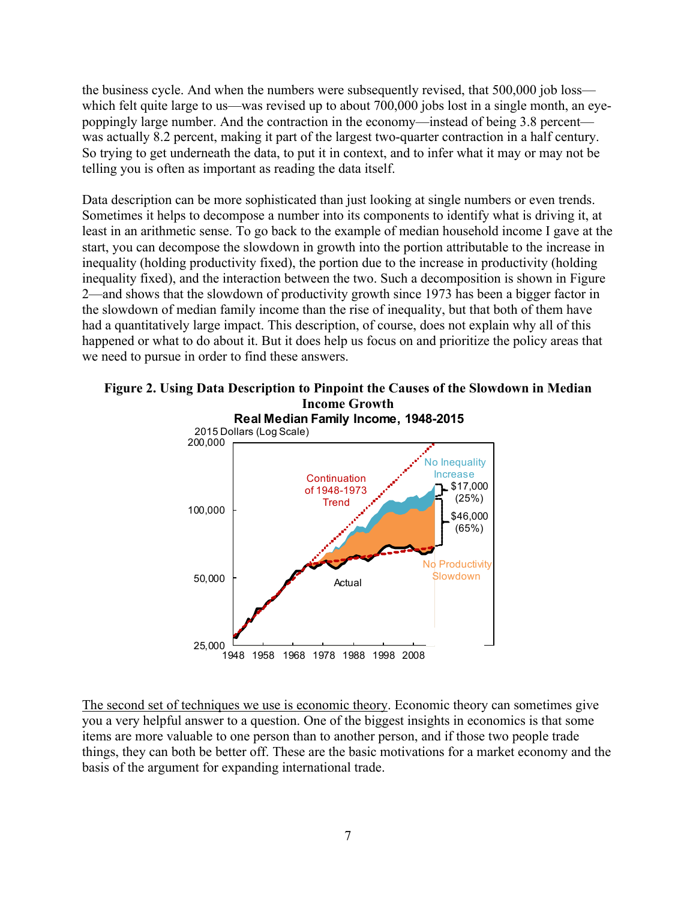the business cycle. And when the numbers were subsequently revised, that 500,000 job loss which felt quite large to us—was revised up to about 700,000 jobs lost in a single month, an eyepoppingly large number. And the contraction in the economy—instead of being 3.8 percent was actually 8.2 percent, making it part of the largest two-quarter contraction in a half century. So trying to get underneath the data, to put it in context, and to infer what it may or may not be telling you is often as important as reading the data itself.

Data description can be more sophisticated than just looking at single numbers or even trends. Sometimes it helps to decompose a number into its components to identify what is driving it, at least in an arithmetic sense. To go back to the example of median household income I gave at the start, you can decompose the slowdown in growth into the portion attributable to the increase in inequality (holding productivity fixed), the portion due to the increase in productivity (holding inequality fixed), and the interaction between the two. Such a decomposition is shown in Figure 2—and shows that the slowdown of productivity growth since 1973 has been a bigger factor in the slowdown of median family income than the rise of inequality, but that both of them have had a quantitatively large impact. This description, of course, does not explain why all of this happened or what to do about it. But it does help us focus on and prioritize the policy areas that we need to pursue in order to find these answers.



# **Figure 2. Using Data Description to Pinpoint the Causes of the Slowdown in Median Income Growth**

The second set of techniques we use is economic theory. Economic theory can sometimes give you a very helpful answer to a question. One of the biggest insights in economics is that some items are more valuable to one person than to another person, and if those two people trade things, they can both be better off. These are the basic motivations for a market economy and the basis of the argument for expanding international trade.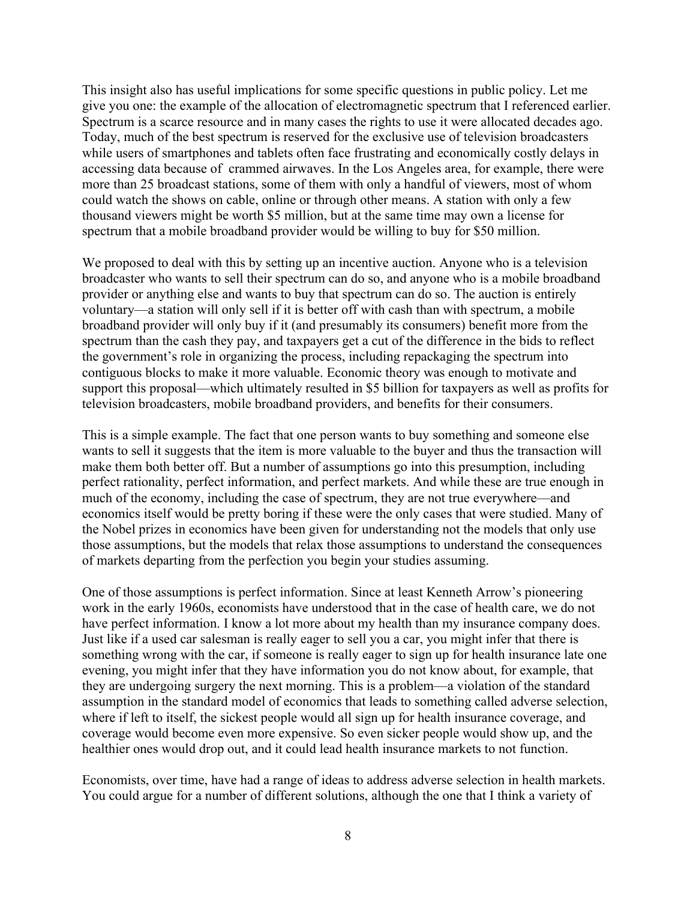This insight also has useful implications for some specific questions in public policy. Let me give you one: the example of the allocation of electromagnetic spectrum that I referenced earlier. Spectrum is a scarce resource and in many cases the rights to use it were allocated decades ago. Today, much of the best spectrum is reserved for the exclusive use of television broadcasters while users of smartphones and tablets often face frustrating and economically costly delays in accessing data because of crammed airwaves. In the Los Angeles area, for example, there were more than 25 broadcast stations, some of them with only a handful of viewers, most of whom could watch the shows on cable, online or through other means. A station with only a few thousand viewers might be worth \$5 million, but at the same time may own a license for spectrum that a mobile broadband provider would be willing to buy for \$50 million.

We proposed to deal with this by setting up an incentive auction. Anyone who is a television broadcaster who wants to sell their spectrum can do so, and anyone who is a mobile broadband provider or anything else and wants to buy that spectrum can do so. The auction is entirely voluntary—a station will only sell if it is better off with cash than with spectrum, a mobile broadband provider will only buy if it (and presumably its consumers) benefit more from the spectrum than the cash they pay, and taxpayers get a cut of the difference in the bids to reflect the government's role in organizing the process, including repackaging the spectrum into contiguous blocks to make it more valuable. Economic theory was enough to motivate and support this proposal—which ultimately resulted in \$5 billion for taxpayers as well as profits for television broadcasters, mobile broadband providers, and benefits for their consumers.

This is a simple example. The fact that one person wants to buy something and someone else wants to sell it suggests that the item is more valuable to the buyer and thus the transaction will make them both better off. But a number of assumptions go into this presumption, including perfect rationality, perfect information, and perfect markets. And while these are true enough in much of the economy, including the case of spectrum, they are not true everywhere—and economics itself would be pretty boring if these were the only cases that were studied. Many of the Nobel prizes in economics have been given for understanding not the models that only use those assumptions, but the models that relax those assumptions to understand the consequences of markets departing from the perfection you begin your studies assuming.

One of those assumptions is perfect information. Since at least Kenneth Arrow's pioneering work in the early 1960s, economists have understood that in the case of health care, we do not have perfect information. I know a lot more about my health than my insurance company does. Just like if a used car salesman is really eager to sell you a car, you might infer that there is something wrong with the car, if someone is really eager to sign up for health insurance late one evening, you might infer that they have information you do not know about, for example, that they are undergoing surgery the next morning. This is a problem—a violation of the standard assumption in the standard model of economics that leads to something called adverse selection, where if left to itself, the sickest people would all sign up for health insurance coverage, and coverage would become even more expensive. So even sicker people would show up, and the healthier ones would drop out, and it could lead health insurance markets to not function.

Economists, over time, have had a range of ideas to address adverse selection in health markets. You could argue for a number of different solutions, although the one that I think a variety of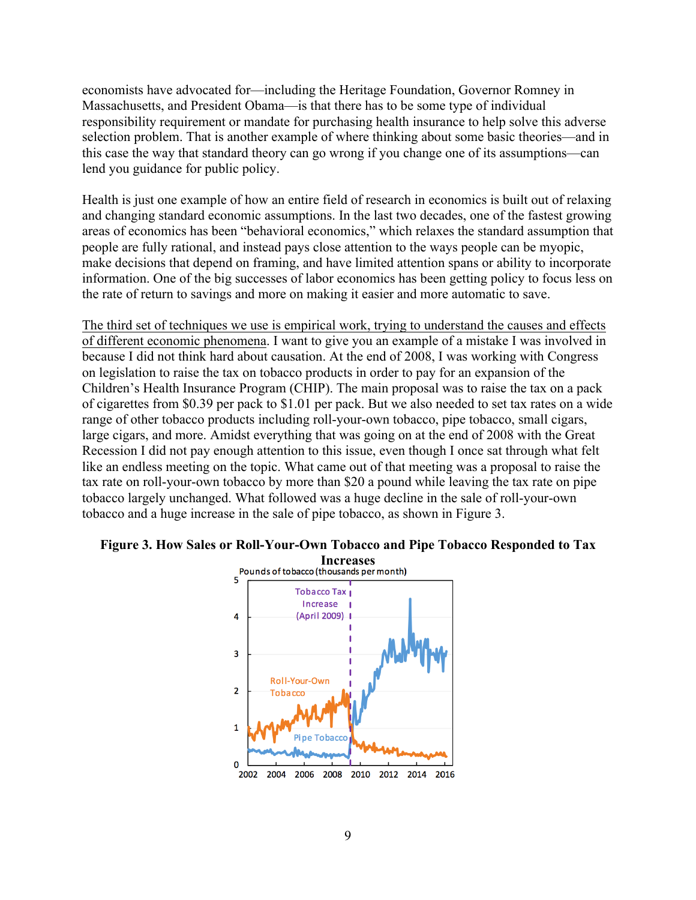economists have advocated for—including the Heritage Foundation, Governor Romney in Massachusetts, and President Obama—is that there has to be some type of individual responsibility requirement or mandate for purchasing health insurance to help solve this adverse selection problem. That is another example of where thinking about some basic theories—and in this case the way that standard theory can go wrong if you change one of its assumptions—can lend you guidance for public policy.

Health is just one example of how an entire field of research in economics is built out of relaxing and changing standard economic assumptions. In the last two decades, one of the fastest growing areas of economics has been "behavioral economics," which relaxes the standard assumption that people are fully rational, and instead pays close attention to the ways people can be myopic, make decisions that depend on framing, and have limited attention spans or ability to incorporate information. One of the big successes of labor economics has been getting policy to focus less on the rate of return to savings and more on making it easier and more automatic to save.

The third set of techniques we use is empirical work, trying to understand the causes and effects of different economic phenomena. I want to give you an example of a mistake I was involved in because I did not think hard about causation. At the end of 2008, I was working with Congress on legislation to raise the tax on tobacco products in order to pay for an expansion of the Children's Health Insurance Program (CHIP). The main proposal was to raise the tax on a pack of cigarettes from \$0.39 per pack to \$1.01 per pack. But we also needed to set tax rates on a wide range of other tobacco products including roll-your-own tobacco, pipe tobacco, small cigars, large cigars, and more. Amidst everything that was going on at the end of 2008 with the Great Recession I did not pay enough attention to this issue, even though I once sat through what felt like an endless meeting on the topic. What came out of that meeting was a proposal to raise the tax rate on roll-your-own tobacco by more than \$20 a pound while leaving the tax rate on pipe tobacco largely unchanged. What followed was a huge decline in the sale of roll-your-own tobacco and a huge increase in the sale of pipe tobacco, as shown in Figure 3.



# **Figure 3. How Sales or Roll-Your-Own Tobacco and Pipe Tobacco Responded to Tax**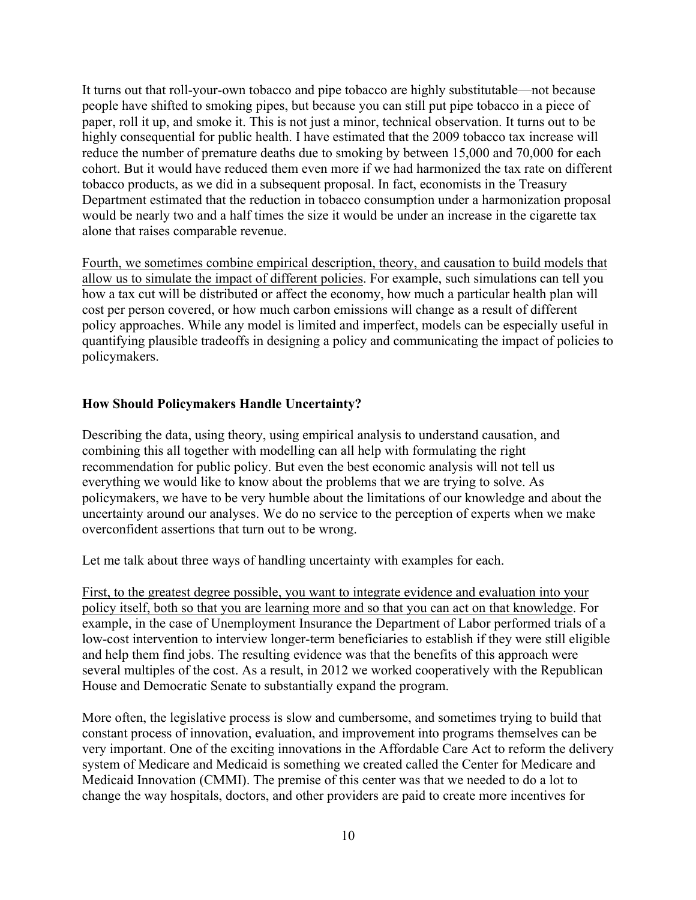It turns out that roll-your-own tobacco and pipe tobacco are highly substitutable—not because people have shifted to smoking pipes, but because you can still put pipe tobacco in a piece of paper, roll it up, and smoke it. This is not just a minor, technical observation. It turns out to be highly consequential for public health. I have estimated that the 2009 tobacco tax increase will reduce the number of premature deaths due to smoking by between 15,000 and 70,000 for each cohort. But it would have reduced them even more if we had harmonized the tax rate on different tobacco products, as we did in a subsequent proposal. In fact, economists in the Treasury Department estimated that the reduction in tobacco consumption under a harmonization proposal would be nearly two and a half times the size it would be under an increase in the cigarette tax alone that raises comparable revenue.

Fourth, we sometimes combine empirical description, theory, and causation to build models that allow us to simulate the impact of different policies. For example, such simulations can tell you how a tax cut will be distributed or affect the economy, how much a particular health plan will cost per person covered, or how much carbon emissions will change as a result of different policy approaches. While any model is limited and imperfect, models can be especially useful in quantifying plausible tradeoffs in designing a policy and communicating the impact of policies to policymakers.

## **How Should Policymakers Handle Uncertainty?**

Describing the data, using theory, using empirical analysis to understand causation, and combining this all together with modelling can all help with formulating the right recommendation for public policy. But even the best economic analysis will not tell us everything we would like to know about the problems that we are trying to solve. As policymakers, we have to be very humble about the limitations of our knowledge and about the uncertainty around our analyses. We do no service to the perception of experts when we make overconfident assertions that turn out to be wrong.

Let me talk about three ways of handling uncertainty with examples for each.

First, to the greatest degree possible, you want to integrate evidence and evaluation into your policy itself, both so that you are learning more and so that you can act on that knowledge. For example, in the case of Unemployment Insurance the Department of Labor performed trials of a low-cost intervention to interview longer-term beneficiaries to establish if they were still eligible and help them find jobs. The resulting evidence was that the benefits of this approach were several multiples of the cost. As a result, in 2012 we worked cooperatively with the Republican House and Democratic Senate to substantially expand the program.

More often, the legislative process is slow and cumbersome, and sometimes trying to build that constant process of innovation, evaluation, and improvement into programs themselves can be very important. One of the exciting innovations in the Affordable Care Act to reform the delivery system of Medicare and Medicaid is something we created called the Center for Medicare and Medicaid Innovation (CMMI). The premise of this center was that we needed to do a lot to change the way hospitals, doctors, and other providers are paid to create more incentives for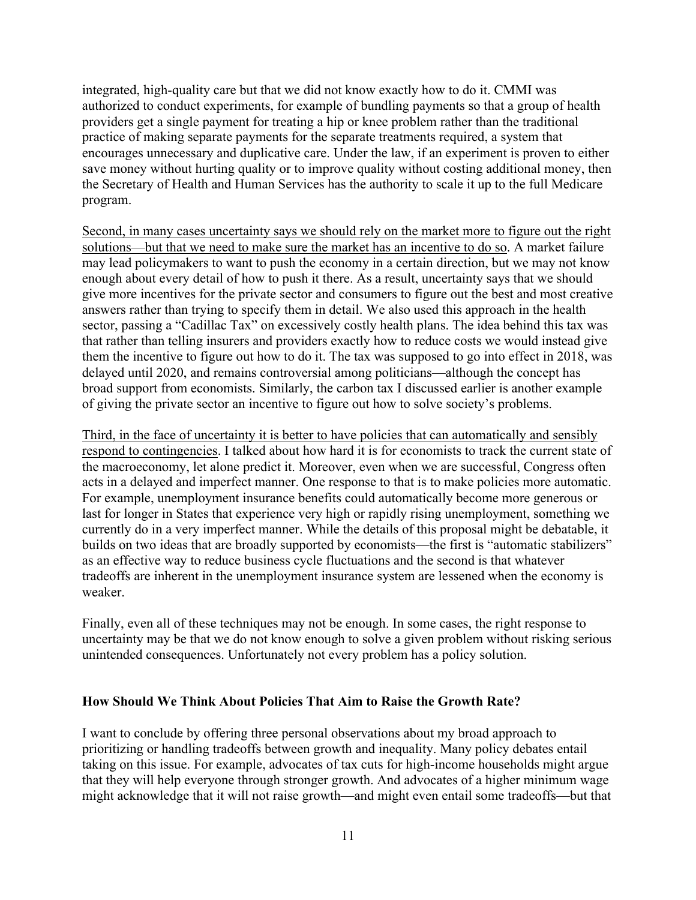integrated, high-quality care but that we did not know exactly how to do it. CMMI was authorized to conduct experiments, for example of bundling payments so that a group of health providers get a single payment for treating a hip or knee problem rather than the traditional practice of making separate payments for the separate treatments required, a system that encourages unnecessary and duplicative care. Under the law, if an experiment is proven to either save money without hurting quality or to improve quality without costing additional money, then the Secretary of Health and Human Services has the authority to scale it up to the full Medicare program.

Second, in many cases uncertainty says we should rely on the market more to figure out the right solutions—but that we need to make sure the market has an incentive to do so. A market failure may lead policymakers to want to push the economy in a certain direction, but we may not know enough about every detail of how to push it there. As a result, uncertainty says that we should give more incentives for the private sector and consumers to figure out the best and most creative answers rather than trying to specify them in detail. We also used this approach in the health sector, passing a "Cadillac Tax" on excessively costly health plans. The idea behind this tax was that rather than telling insurers and providers exactly how to reduce costs we would instead give them the incentive to figure out how to do it. The tax was supposed to go into effect in 2018, was delayed until 2020, and remains controversial among politicians—although the concept has broad support from economists. Similarly, the carbon tax I discussed earlier is another example of giving the private sector an incentive to figure out how to solve society's problems.

Third, in the face of uncertainty it is better to have policies that can automatically and sensibly respond to contingencies. I talked about how hard it is for economists to track the current state of the macroeconomy, let alone predict it. Moreover, even when we are successful, Congress often acts in a delayed and imperfect manner. One response to that is to make policies more automatic. For example, unemployment insurance benefits could automatically become more generous or last for longer in States that experience very high or rapidly rising unemployment, something we currently do in a very imperfect manner. While the details of this proposal might be debatable, it builds on two ideas that are broadly supported by economists—the first is "automatic stabilizers" as an effective way to reduce business cycle fluctuations and the second is that whatever tradeoffs are inherent in the unemployment insurance system are lessened when the economy is weaker.

Finally, even all of these techniques may not be enough. In some cases, the right response to uncertainty may be that we do not know enough to solve a given problem without risking serious unintended consequences. Unfortunately not every problem has a policy solution.

### **How Should We Think About Policies That Aim to Raise the Growth Rate?**

I want to conclude by offering three personal observations about my broad approach to prioritizing or handling tradeoffs between growth and inequality. Many policy debates entail taking on this issue. For example, advocates of tax cuts for high-income households might argue that they will help everyone through stronger growth. And advocates of a higher minimum wage might acknowledge that it will not raise growth—and might even entail some tradeoffs—but that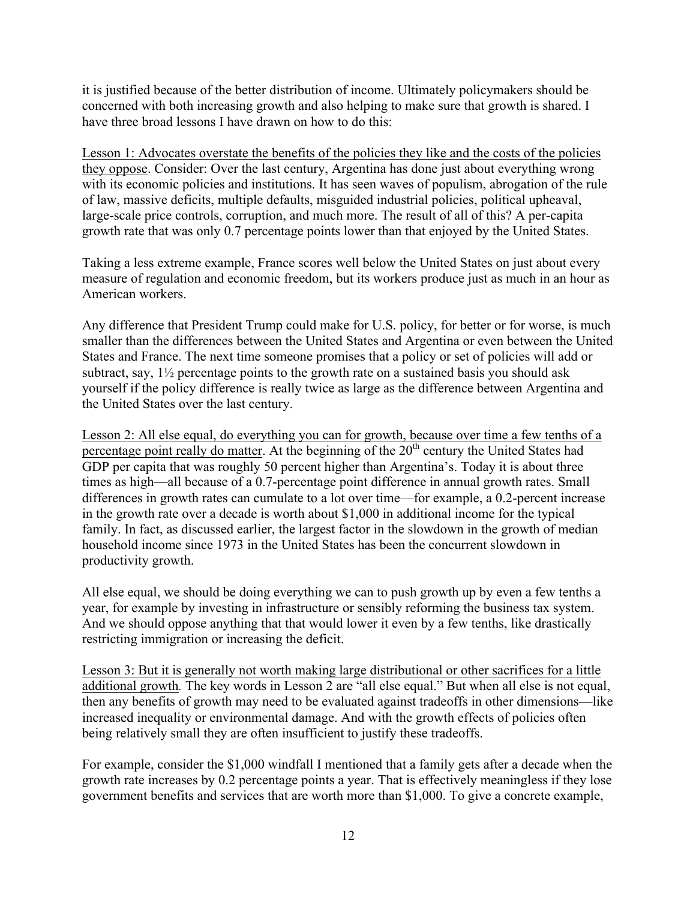it is justified because of the better distribution of income. Ultimately policymakers should be concerned with both increasing growth and also helping to make sure that growth is shared. I have three broad lessons I have drawn on how to do this:

Lesson 1: Advocates overstate the benefits of the policies they like and the costs of the policies they oppose. Consider: Over the last century, Argentina has done just about everything wrong with its economic policies and institutions. It has seen waves of populism, abrogation of the rule of law, massive deficits, multiple defaults, misguided industrial policies, political upheaval, large-scale price controls, corruption, and much more. The result of all of this? A per-capita growth rate that was only 0.7 percentage points lower than that enjoyed by the United States.

Taking a less extreme example, France scores well below the United States on just about every measure of regulation and economic freedom, but its workers produce just as much in an hour as American workers.

Any difference that President Trump could make for U.S. policy, for better or for worse, is much smaller than the differences between the United States and Argentina or even between the United States and France. The next time someone promises that a policy or set of policies will add or subtract, say, 1½ percentage points to the growth rate on a sustained basis you should ask yourself if the policy difference is really twice as large as the difference between Argentina and the United States over the last century.

Lesson 2: All else equal, do everything you can for growth, because over time a few tenths of a percentage point really do matter. At the beginning of the  $20<sup>th</sup>$  century the United States had GDP per capita that was roughly 50 percent higher than Argentina's. Today it is about three times as high—all because of a 0.7-percentage point difference in annual growth rates. Small differences in growth rates can cumulate to a lot over time—for example, a 0.2-percent increase in the growth rate over a decade is worth about \$1,000 in additional income for the typical family. In fact, as discussed earlier, the largest factor in the slowdown in the growth of median household income since 1973 in the United States has been the concurrent slowdown in productivity growth.

All else equal, we should be doing everything we can to push growth up by even a few tenths a year, for example by investing in infrastructure or sensibly reforming the business tax system. And we should oppose anything that that would lower it even by a few tenths, like drastically restricting immigration or increasing the deficit.

Lesson 3: But it is generally not worth making large distributional or other sacrifices for a little additional growth*.* The key words in Lesson 2 are "all else equal." But when all else is not equal, then any benefits of growth may need to be evaluated against tradeoffs in other dimensions—like increased inequality or environmental damage. And with the growth effects of policies often being relatively small they are often insufficient to justify these tradeoffs.

For example, consider the \$1,000 windfall I mentioned that a family gets after a decade when the growth rate increases by 0.2 percentage points a year. That is effectively meaningless if they lose government benefits and services that are worth more than \$1,000. To give a concrete example,